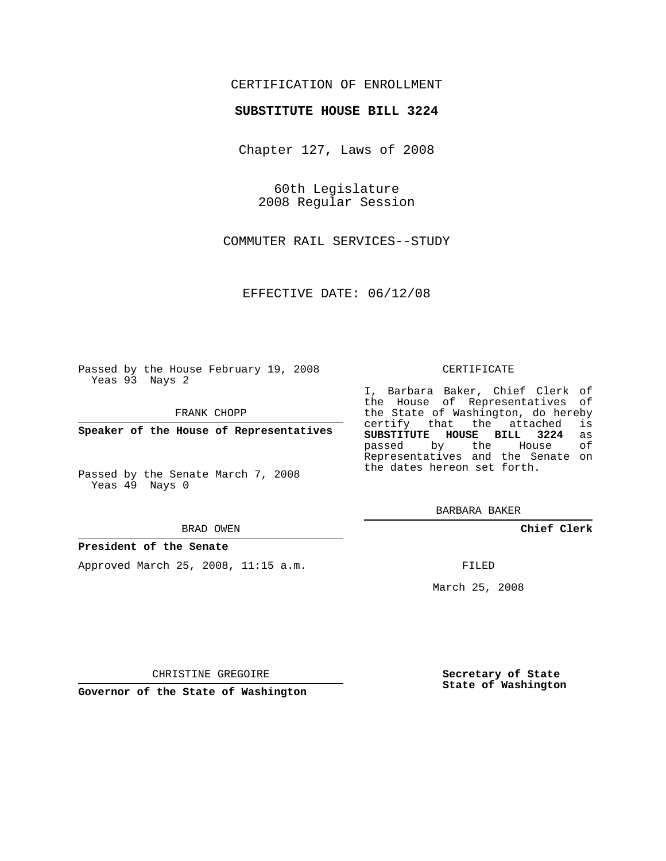## CERTIFICATION OF ENROLLMENT

## **SUBSTITUTE HOUSE BILL 3224**

Chapter 127, Laws of 2008

60th Legislature 2008 Regular Session

COMMUTER RAIL SERVICES--STUDY

EFFECTIVE DATE: 06/12/08

Passed by the House February 19, 2008 Yeas 93 Nays 2

FRANK CHOPP

**Speaker of the House of Representatives**

Passed by the Senate March 7, 2008 Yeas 49 Nays 0

#### BRAD OWEN

### **President of the Senate**

Approved March 25, 2008, 11:15 a.m.

#### CERTIFICATE

I, Barbara Baker, Chief Clerk of the House of Representatives of the State of Washington, do hereby<br>certify that the attached is certify that the attached **SUBSTITUTE HOUSE BILL 3224** as passed by the House Representatives and the Senate on the dates hereon set forth.

BARBARA BAKER

**Chief Clerk**

FILED

March 25, 2008

**Secretary of State State of Washington**

CHRISTINE GREGOIRE

**Governor of the State of Washington**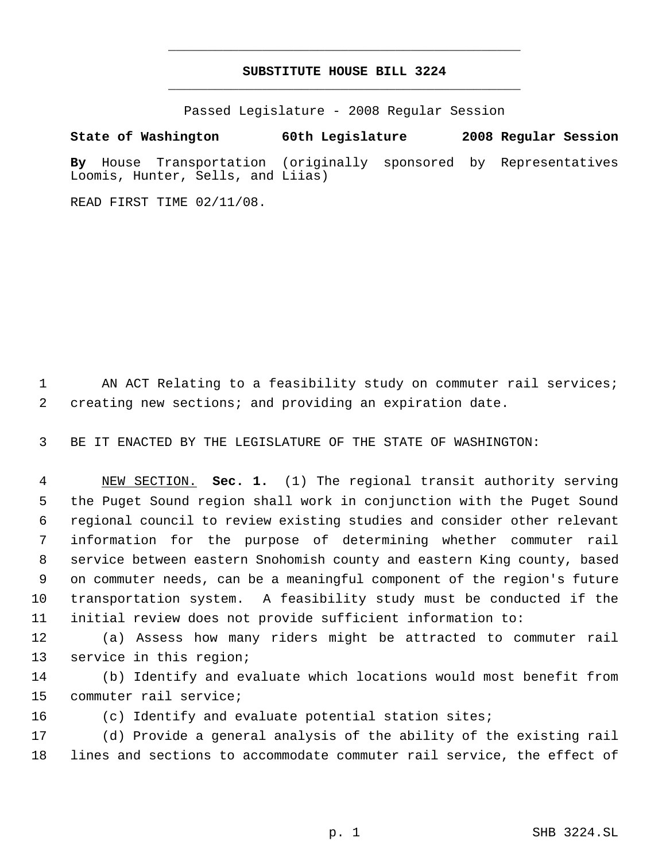# **SUBSTITUTE HOUSE BILL 3224** \_\_\_\_\_\_\_\_\_\_\_\_\_\_\_\_\_\_\_\_\_\_\_\_\_\_\_\_\_\_\_\_\_\_\_\_\_\_\_\_\_\_\_\_\_

\_\_\_\_\_\_\_\_\_\_\_\_\_\_\_\_\_\_\_\_\_\_\_\_\_\_\_\_\_\_\_\_\_\_\_\_\_\_\_\_\_\_\_\_\_

Passed Legislature - 2008 Regular Session

**State of Washington 60th Legislature 2008 Regular Session**

**By** House Transportation (originally sponsored by Representatives Loomis, Hunter, Sells, and Liias)

READ FIRST TIME 02/11/08.

1 AN ACT Relating to a feasibility study on commuter rail services; creating new sections; and providing an expiration date.

BE IT ENACTED BY THE LEGISLATURE OF THE STATE OF WASHINGTON:

 NEW SECTION. **Sec. 1.** (1) The regional transit authority serving the Puget Sound region shall work in conjunction with the Puget Sound regional council to review existing studies and consider other relevant information for the purpose of determining whether commuter rail service between eastern Snohomish county and eastern King county, based on commuter needs, can be a meaningful component of the region's future transportation system. A feasibility study must be conducted if the initial review does not provide sufficient information to:

 (a) Assess how many riders might be attracted to commuter rail service in this region;

 (b) Identify and evaluate which locations would most benefit from commuter rail service;

(c) Identify and evaluate potential station sites;

 (d) Provide a general analysis of the ability of the existing rail lines and sections to accommodate commuter rail service, the effect of